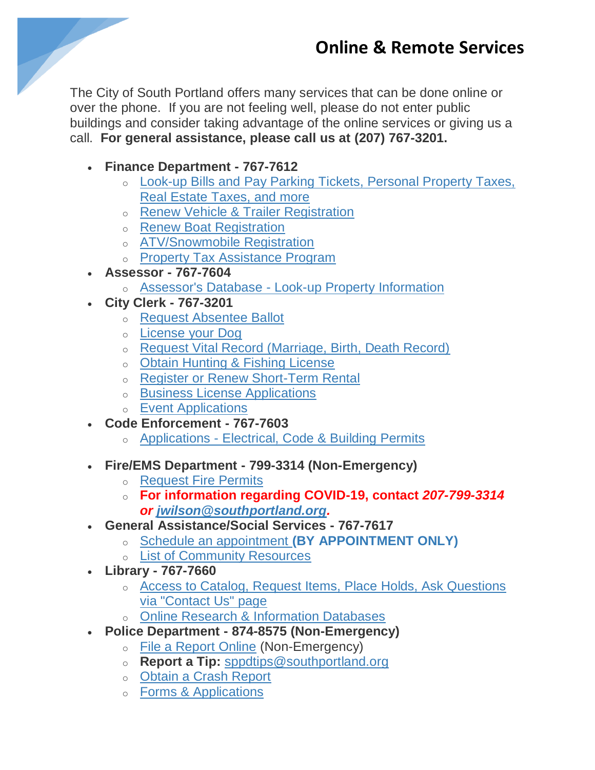

The City of South Portland offers many services that can be done online or over the phone. If you are not feeling well, please do not enter public buildings and consider taking advantage of the online services or giving us a call. **For general assistance, please call us at (207) 767-3201.**

- **Finance Department - 767-7612**
	- o Look-up Bills and [Pay Parking Tickets, Personal Property Taxes,](https://www.southportland.org/departments/finance-department/citizen-self-service/)  [Real Estate Taxes, and more](https://www.southportland.org/departments/finance-department/citizen-self-service/)
	- o [Renew Vehicle & Trailer Registration](https://www1.maine.gov/online/bmv/rapid-renewal/)
	- o [Renew Boat Registration](https://www5.informe.org/online/boat/)
	- o [ATV/Snowmobile Registration](https://moses.informe.org/online/atv_snow/index.htm)
	- o [Property Tax Assistance Program](https://www.southportland.org/departments/finance-department/south-portland-tax-assistance-program/)
- **Assessor - 767-7604**
	- o Assessor's Database [Look-up Property Information](http://gis.vgsi.com/southportlandme/)
- **City Clerk - 767-3201**
	- o [Request Absentee Ballot](https://www.maine.gov/cgi-bin/online/AbsenteeBallot/index.pl)
	- o [License your Dog](https://apps1.web.maine.gov/cgi-bin/online/dog_license/index.pl)
	- o [Request Vital Record \(Marriage, Birth, Death Record\)](https://vitalrecords.egov.com/CDC.VitalRecordsMVC.Web/Wizard/ME/Municipality/SelectMunicipality)
	- o [Obtain Hunting & Fishing License](https://moses.informe.org/cgi-bin/online/moses_v3/index)
	- o [Register or Renew Short-Term Rental](https://safe.hostcompliance.com/south-portland-me/permit-registration/welcome)
	- o [Business License Applications](https://www.southportland.org/departments/city-clerk/clerk-business-licenses/)
	- o [Event Applications](https://www.southportland.org/departments/city-clerk/event-permits/)
- **Code Enforcement - 767-7603**
	- o Applications [Electrical, Code & Building Permits](https://www.southportland.org/departments/code-enforcement/applications/)
- **Fire/EMS Department - 799-3314 (Non-Emergency)**
	- o [Request Fire Permits](https://www.southportland.org/departments/fire-department/permits/)
	- o **For information regarding COVID-19, contact** *207-799-3314 or [jwilson@southportland.org.](mailto:jwilson@southportland.org)*
- **General Assistance/Social Services - 767-7617**
	- o Schedule an appointment **[\(BY APPOINTMENT ONLY\)](https://www.southportland.org/departments/general-assistance/)**
		- o [List of Community Resources](https://www.southportland.org/departments/general-assistance/community-resource-directory/)
- **Library - 767-7660**
	- o [Access to Catalog, Request Items, Place Holds, Ask Questions](https://southportlandlibrary.com/)  [via "Contact Us" page](https://southportlandlibrary.com/)
	- o [Online Research & Information Databases](https://library.digitalmaine.org/)
- **Police Department - 874-8575 (Non-Emergency)**
	- o [File a Report Online](https://secure.coplogic.com/dors/en/filing/selectincidenttype?dynparam=1584116629873) (Non-Emergency)
	- o **Report a Tip:** [sppdtips@southportland.org](mailto:sppdtips@southportland.org)
	- o [Obtain a Crash Report](https://policereports.lexisnexis.com/)
	- o [Forms & Applications](https://www.southportland.org/departments/police-department/paperwork-and-downloads/)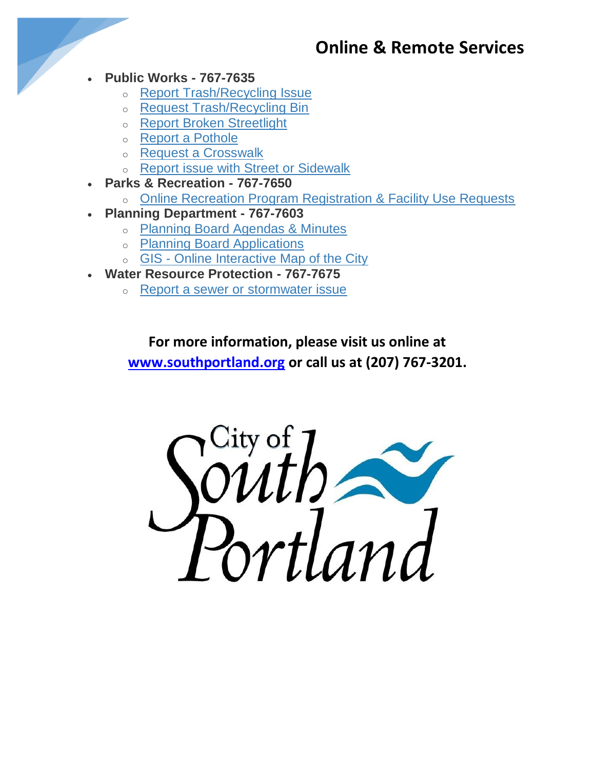## **Online & Remote Services**

- **Public Works - 767-7635**
	- o [Report Trash/Recycling Issue](https://www.southportland.org/departments/public-works/)
	- o [Request Trash/Recycling Bin](https://www.southportland.org/departments/public-works/)
	- o [Report Broken Streetlight](https://www.southportland.org/departments/public-works/)
	- o [Report a Pothole](https://www.southportland.org/departments/public-works/)
	- o [Request a Crosswalk](https://www.southportland.org/departments/public-works/)
	- o [Report issue with Street or Sidewalk](https://www.southportland.org/departments/public-works/)
- **Parks & Recreation - 767-7650**
	- o [Online Recreation Program Registration & Facility Use Requests](https://southportlandme.myrec.com/info/default.aspx)
- **Planning Department - 767-7603**
	- o [Planning Board Agendas & Minutes](https://go.boarddocs.com/me/sport/Board.nsf/Public)
	- o [Planning Board Applications](https://www.southportland.org/our-city/board-and-committees/planning-board/planning-board-applications/)
	- o GIS [Online Interactive Map of the City](https://southportlandme.mapgeo.io/datasets/properties?abuttersDistance=500&latlng=43.626048%2C-70.272376)
- **Water Resource Protection - 767-7675**
	- o [Report a sewer or stormwater issue](https://www.southportland.org/departments/water-resource-protection/contact-us/)

**For more information, please visit us online at [www.southportland.org](http://www.southportland.org/) or call us at (207) 767-3201.**

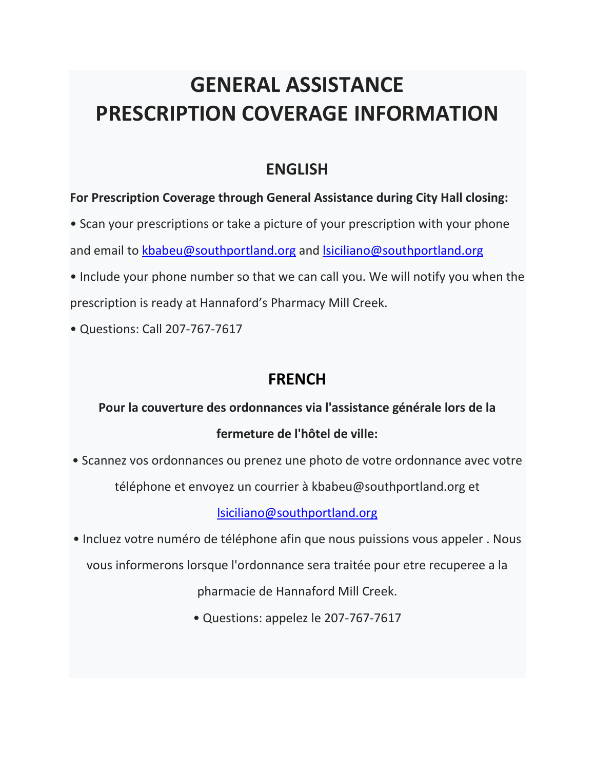# **GENERAL ASSISTANCE PRESCRIPTION COVERAGE INFORMATION**

### **ENGLISH**

#### **For Prescription Coverage through General Assistance during City Hall closing:**

- Scan your prescriptions or take a picture of your prescription with your phone and email to [kbabeu@southportland.org](mailto:kbabeu@southportland.org) and Isiciliano@southportland.org
- Include your phone number so that we can call you. We will notify you when the prescription is ready at Hannaford's Pharmacy Mill Creek.
- Questions: Call 207-767-7617

## **FRENCH**

**Pour la couverture des ordonnances via l'assistance générale lors de la fermeture de l'hôtel de ville:**

• Scannez vos ordonnances ou prenez une photo de votre ordonnance avec votre

téléphone et envoyez un courrier à kbabeu@southportland.org et

[lsiciliano@southportland.org](mailto:lsiciliano@southportland.org)

• Incluez votre numéro de téléphone afin que nous puissions vous appeler . Nous

vous informerons lorsque l'ordonnance sera traitée pour etre recuperee a la

pharmacie de Hannaford Mill Creek.

• Questions: appelez le 207-767-7617